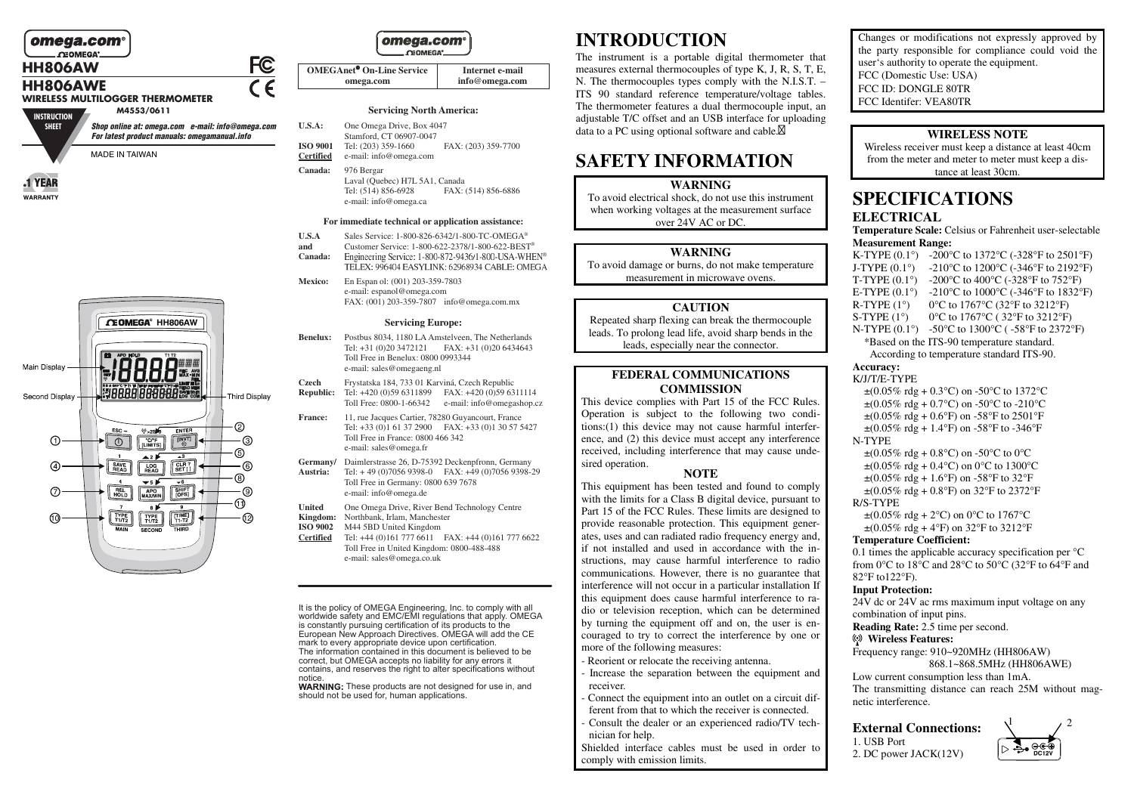## omega.com  $\overline{\mathbf{C}}$  OMEGA<sup>®</sup>

# **HH806AW**

#### **HH806AWE WIRELESS MULTILOGGER THERMOMETER**

**M4553/0611**

**INSTRUCTION SHEET**

Shop online at: omega.com e-mail: info@omega.com For latest product manuals: omegamanual.info

**FC**  $\epsilon$ 

MADE IN TAIWAN





# omega.com  $C<sub>2</sub>OWFGA$

**OMEGAnet On-Line Service omega.com Internet e-mail info@omega.com**

# **Servicing North America:**

| <b>U.S.A:</b>   | One Omega Drive, Box 4047                    |                     |
|-----------------|----------------------------------------------|---------------------|
|                 | Stamford, CT 06907-0047                      |                     |
| <b>ISO 9001</b> | Tel: (203) 359-1660                          | FAX: (203) 359-7700 |
| Certified       | e-mail: info@omega.com                       |                     |
| <b>Canada:</b>  | 976 Bergar<br>Laval (Quebec) H7L 5A1, Canada |                     |
|                 |                                              |                     |

Tel: (514) 856-6928 FAX: (514) 856-6886 e-mail: info@omega.ca

## **For immediate technical or application assistance:**

- **U.S.A** Sales Service: 1-800-826-6342/1-800-TC-OMEGA®
- **and** Customer Service: 1-800-622-2378/1-800-622-BEST® **Canada:** Engineering Service: 1-800-872-9436/1-800-USA-WHEN® TELEX: 996404 EASYLINK: 62968934 CABLE: OMEGA
- **Mexico:** En Espan ol: (001) 203-359-7803 e-mail: espanol@omega.com FAX: (001) 203-359-7807 info@omega.com.mx

### **Servicing Europe:**

- **Benelux:** Postbus 8034, 1180 LA Amstelveen, The Netherlands Tel: +31 (0)20 3472121 FAX: +31 (0)20 6434643 Toll Free in Benelux: 0800 0993344 e-mail: sales@omegaeng.nl
- **Czech** Frystatska 184, 733 01 Karviná, Czech Republic<br>**Republic:** Tel: +420 (0)59 6311899 FAX: +420 (0)59 63 **Republic:** Tel: +420 (0)59 6311899 FAX: +420 (0)59 6311114 Toll Free: 0800-1-66342 e-mail: info@omegashop.cz
- **France:** 11, rue Jacques Cartier, 78280 Guyancourt, France Tel: +33 (0)1 61 37 2900 FAX: +33 (0)1 30 57 5427 Toll Free in France: 0800 466 342
- e-mail: sales@omega.fr **Germany/** Daimlerstrasse 26, D-75392 Deckenpfronn, Germany **Austria:** Tel: + 49 (0)7056 9398-0 FAX: +49 (0)7056 9398-29 Toll Free in Germany: 0800 639 7678
	- e-mail: info@omega.de
- **United** One Omega Drive, River Bend Technology Centre
- **Kingdom:** Northbank, Irlam, Manchester
- **ISO 9002** M44 5BD United Kingdom
- **Certified** Tel: +44 (0)161 777 6611 FAX: +44 (0)161 777 6622 Toll Free in United Kingdom: 0800-488-488 e-mail: sales@omega.co.uk

It is the policy of OMEGA Engineering, Inc. to comply with all worldwide safety and EMC/EMI regulations that apply. OMEGA is constantly pursuing certification of its products to the European New Approach Directives. OMEGA will add the CE mark to every appropriate device upon certification. The information contained in this document is believed to be correct, but OMEGA accepts no liability for any errors it contains, and reserves the right to alter specifications without

notice.<br>**WARNING:** These products are not designed for use in, and should not be used for, human applications.

# **INTRODUCTION**

The instrument is a portable digital thermometer that measures external thermocouples of type K, J, R, S, T, E, N. The thermocouples types comply with the N.I.S.T. – ITS 90 standard reference temperature/voltage tables. The thermometer features a dual thermocouple input, an adjustable T/C offset and an USB interface for uploading data to a PC using optional software and cable.

# **SAFETY INFORMATION**

## **WARNING**

To avoid electrical shock, do not use this instrument when working voltages at the measurement surface over 24V AC or DC.

### **WARNING**

To avoid damage or burns, do not make temperature measurement in microwave ovens.

### **CAUTION**

Repeated sharp flexing can break the thermocouple leads. To prolong lead life, avoid sharp bends in the leads, especially near the connector.

## **FEDERAL COMMUNICATIONS COMMISSION**

This device complies with Part 15 of the FCC Rules. Operation is subject to the following two conditions:(1) this device may not cause harmful interference, and (2) this device must accept any interference received, including interference that may cause undesired operation. **NOTE** 

This equipment has been tested and found to comply with the limits for a Class B digital device, pursuant to Part 15 of the FCC Rules. These limits are designed to provide reasonable protection. This equipment generates, uses and can radiated radio frequency energy and, if not installed and used in accordance with the instructions, may cause harmful interference to radio communications. However, there is no guarantee that interference will not occur in a particular installation If this equipment does cause harmful interference to radio or television reception, which can be determined by turning the equipment off and on, the user is encouraged to try to correct the interference by one or more of the following measures:

- Reorient or relocate the receiving antenna.
- Increase the separation between the equipment and receiver.
- Connect the equipment into an outlet on a circuit different from that to which the receiver is connected.
- Consult the dealer or an experienced radio/TV technician for help.

comply with emission limits. Shielded interface cables must be used in order to Changes or modifications not expressly approved by the party responsible for compliance could void the user's authority to operate the equipment. FCC (Domestic Use: USA) FCC ID: DONGLE 80TR FCC Identifer: VEA80TR

# **WIRELESS NOTE**

Wireless receiver must keep a distance at least 40cm from the meter and meter to meter must keep a distance at least 30cm.

# **SPECIFICATIONS**

# **ELECTRICAL**

**Temperature Scale:** Celsius or Fahrenheit user-selectable **Measurement Range:**

K-TYPE  $(0.1^{\circ})$  -200°C to 1372°C (-328°F to 2501°F) J-TYPE (0.1°) -210°C to 1200°C (-346°F to 2192°F) T-TYPE  $(0.1^{\circ})$  -200 °C to 400 °C (-328 °F to 752 °F) E-TYPE  $(0.1^{\circ})$  -210°C to 1000°C (-346°F to 1832°F) R-TYPE  $(1^{\circ})$  0°C to 1767°C (32°F to 3212°F) S-TYPE (1°) 0°C to 1767°C ( 32°F to 3212°F) N-TYPE (0.1°) -50°C to 1300°C ( -58°F to 2372°F) \*Based on the ITS-90 temperature standard. According to temperature standard ITS-90. **Accuracy:**

#### K/J/T/E-TYPE

 $\pm (0.05\% \text{ rdg} + 0.3\degree \text{C})$  on -50°C to 1372°C  $\pm (0.05\% \text{ rdg} + 0.7\degree \text{C})$  on -50 $\degree$ C to -210 $\degree$ C  $\pm (0.05\% \text{ r}) + 0.6^{\circ} \text{F}$  on -58°F to 2501°F  $\pm (0.05\% \text{ rdg} + 1.4\text{°F})$  on -58°F to -346°F N-TYPE

- $\pm (0.05\% \text{ rdg} + 0.8\degree \text{C})$  on -50 $\degree$ C to 0 $\degree$ C  $\pm (0.05\% \text{ rdg} + 0.4\degree \text{C})$  on 0°C to 1300°C  $\pm (0.05\% \text{ rdg} + 1.6\text{°F})$  on -58°F to 32°F  $\pm (0.05\% \text{ rdg} + 0.8\degree \text{F})$  on 32°F to 2372°F
- R/S-TYPE
- $\pm (0.05\% \text{ rdg} + 2^{\circ}\text{C})$  on 0°C to 1767°C  $\pm (0.05\% \text{ rdg} + 4\degree \text{F})$  on 32 $\degree$ F to 3212 $\degree$ F

### **Temperature Coefficient:**

0.1 times the applicable accuracy specification per °C from 0°C to 18°C and 28°C to 50°C (32°F to 64°F and 82°F to122°F).

#### **Input Protection:**

24V dc or 24V ac rms maximum input voltage on any combination of input pins.

**Reading Rate:** 2.5 time per second.

### **Wireless Features:**

Frequency range: 910~920MHz (HH806AW) 868.1~868.5MHz (HH806AWE)

Low current consumption less than 1mA.

The transmitting distance can reach 25M without magnetic interference.

# **External Connections:**



1. USB Port 2. DC power JACK(12V)

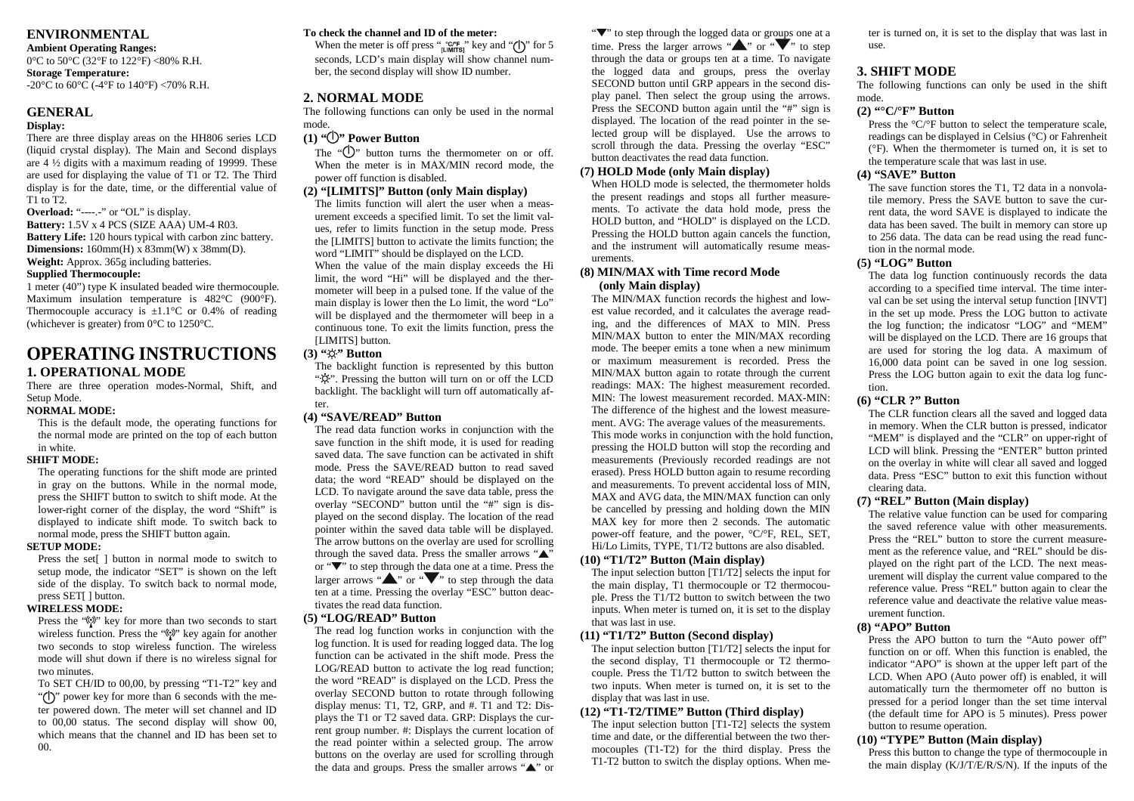# **ENVIRONMENTAL**

 **Ambient Operating Ranges:** 0 $^{\circ}$ C to 50 $^{\circ}$ C (32 $^{\circ}$ F to 122 $^{\circ}$ F) <80% R.H. **Storage Temperature:** -20 $^{\circ}$ C to 60 $^{\circ}$ C (-4 $^{\circ}$ F to 140 $^{\circ}$ F) <70% R.H.

# **GENERAL**

#### **Display:**

 There are three display areas on the HH806 series LCD (liquid crystal display). The Main and Second displays are 4 ½ digits with a maximum reading of 19999. These are used for displaying the value of T1 or T2. The Third display is for the date, time, or the differential value of T1 to T2.

 **Overload:** "----.-" or "OL" is display. **Battery:** 1.5V x 4 PCS (SIZE AAA) UM-4 R03. **Battery Life:** 120 hours typical with carbon zinc battery. **Dimensions:** 160mm(H) x 83mm(W) x 38mm(D). **Weight:** Approx. 365g including batteries.

# **Supplied Thermocouple:**

 1 meter (40") type K insulated beaded wire thermocouple. Maximum insulation temperature is 482°C (900°F). Thermocouple accuracy is  $\pm 1.1^{\circ}\text{C}$  or 0.4% of reading (whichever is greater) from 0°C to 1250°C.

# **OPERATING INSTRUCTIONS1. OPERATIONAL MODE**

 There are three operation modes-Normal, Shift, and Setup Mode.

### **NORMAL MODE:**

 This is the default mode, the operating functions for the normal mode are printed on the top of each button in white.

### **SHIFT MODE:**

 The operating functions for the shift mode are printed in gray on the buttons. While in the normal mode, press the SHIFT button to switch to shift mode. At the lower-right corner of the display, the word "Shift" is displayed to indicate shift mode. To switch back tonormal mode, press the SHIFT button again.

### **SETUP MODE:**

Press the set[ ] button in normal mode to switch to setup mode, the indicator "SET" is shown on the left side of the display. To switch back to normal mode,press SET[ ] button.

### **WIRELESS MODE:**

Press the " $\binom{[n]}{k}$ " key for more than two seconds to start wireless function. Press the "<sup>"</sup><sup>"</sup>" key again for another two seconds to stop wireless function. The wireless mode will shut down if there is no wireless signal for two minutes.

 To SET CH/ID to 00,00, by pressing "T1-T2" key and "(I)" power key for more than 6 seconds with the meter powered down. The meter will set channel and ID to 00,00 status. The second display will show 00, which means that the channel and ID has been set to00.

## **To check the channel and ID of the meter:**

When the meter is off press " $\frac{C^{\prime}F}{[LIMITS]}$ " key and " $\bigcup$ " for 5 seconds, LCD's main display will show channel number, the second display will show ID number.

## **2. NORMAL MODE**

 The following functions can only be used in the normal mode.

# **(1) " " Power Button**

The " $\bigcup$ " button turns the thermometer on or off. When the meter is in MAX/MIN record mode, the power off function is disabled.

### **(2) "[LIMITS]" Button (only Main display)**

 The limits function will alert the user when a meas urement exceeds a specified limit. To set the limit values, refer to limits function in the setup mode. Press the [LIMITS] button to activate the limits function; the word "LIMIT" should be displayed on the LCD. When the value of the main display exceeds the Hi limit, the word "Hi" will be displayed and the ther mometer will beep in a pulsed tone. If the value of the main display is lower then the Lo limit, the word "Lo" will be displayed and the thermometer will beep in a continuous tone. To exit the limits function, press the [LIMITS] button.

# **(3) " " Button**

The backlight function is represented by this button " $\varphi$ ". Pressing the button will turn on or off the LCD backlight. The backlight will turn off automatically after.

### **(4) "SAVE/READ" Button**

 The read data function works in conjunction with the save function in the shift mode, it is used for reading saved data. The save function can be activated in shift mode. Press the SAVE/READ button to read saved data; the word "READ" should be displayed on the LCD. To navigate around the save data table, press the overlay "SECOND" button until the "#" sign is displayed on the second display. The location of the read pointer within the saved data table will be displayed. The arrow buttons on the overlay are used for scrolling through the saved data. Press the smaller arrows " $\triangle$ " or " $\blacktriangledown$ " to step through the data one at a time. Press the larger arrows " $\blacktriangle$ " or " $\blacktriangledown$ " to step through the data ten at a time. Pressing the overlay "ESC" button deactivates the read data function.

### **(5) "LOG/READ" Button**

 The read log function works in conjunction with the log function. It is used for reading logged data. The log function can be activated in the shift mode. Press the LOG/READ button to activate the log read function; the word "READ" is displayed on the LCD. Press the overlay SECOND button to rotate through following display menus: T1, T2, GRP, and #. T1 and T2: Displays the T1 or T2 saved data. GRP: Displays the current group number. #: Displays the current location of the read pointer within a selected group. The arrow buttons on the overlay are used for scrolling through the data and groups. Press the smaller arrows " $\triangle$ " or

"" to step through the logged data or groups one at a time. Press the larger arrows " $\triangle$ " or " $\blacktriangledown$ " to step through the data or groups ten at a time. To navigate the logged data and groups, press the overlay SECOND button until GRP appears in the second display panel. Then select the group using the arrows.Press the SECOND button again until the "#" sign is displayed. The location of the read pointer in the selected group will be displayed. Use the arrows to scroll through the data. Pressing the overlay "ESC"button deactivates the read data function.

### **(7) HOLD Mode (only Main display)**

 When HOLD mode is selected, the thermometer holds the present readings and stops all further measurements. To activate the data hold mode, press the HOLD button, and "HOLD" is displayed on the LCD. Pressing the HOLD button again cancels the function, and the instrument will automatically resume measurements.

### **(8) MIN/MAX with Time record Mode (only Main display)**

 The MIN/MAX function records the highest and lowest value recorded, and it calculates the average reading, and the differences of MAX to MIN. Press MIN/MAX button to enter the MIN/MAX recording mode. The beeper emits a tone when a new minimum or maximum measurement is recorded. Press the MIN/MAX button again to rotate through the current readings: MAX: The highest measurement recorded. MIN: The lowest measurement recorded. MAX-MIN: The difference of the highest and the lowest measurement. AVG: The average values of the measurements. This mode works in conjunction with the hold function, pressing the HOLD button will stop the recording and measurements (Previously recorded readings are not erased). Press HOLD button again to resume recording and measurements. To prevent accidental loss of MIN, MAX and AVG data, the MIN/MAX function can only be cancelled by pressing and holding down the MIN MAX key for more then 2 seconds. The automatic power-off feature, and the power, °C/°F, REL, SET, Hi/Lo Limits, TYPE, T1/T2 buttons are also disabled.

## **(10) "T1/T2" Button (Main display)**

 The input selection button [T1/T2] selects the input for the main display, T1 thermocouple or T2 thermocouple. Press the T1/T2 button to switch between the two inputs. When meter is turned on, it is set to the display that was last in use.

# **(11) "T1/T2" Button (Second display)**

 The input selection button [T1/T2] selects the input for the second display, T1 thermocouple or T2 thermocouple. Press the T1/T2 button to switch between the two inputs. When meter is turned on, it is set to the display that was last in use.

### **(12) "T1-T2/TIME" Button (Third display)**

 The input selection button [T1-T2] selects the system time and date, or the differential between the two thermocouples (T1-T2) for the third display. Press the T1-T2 button to switch the display options. When me-

to it is set to the display that was last in<br>
y<br>
y<br>
y<br>
sus.<br>
<br>
The following functions can only be used in the shift<br>
y<br>
7<br>
3. SHIIFT MODE<br>
2<br>
(2) were/PF Button to select the temperature scale.<br>
Press the <sup>o</sup>C/F Putton to